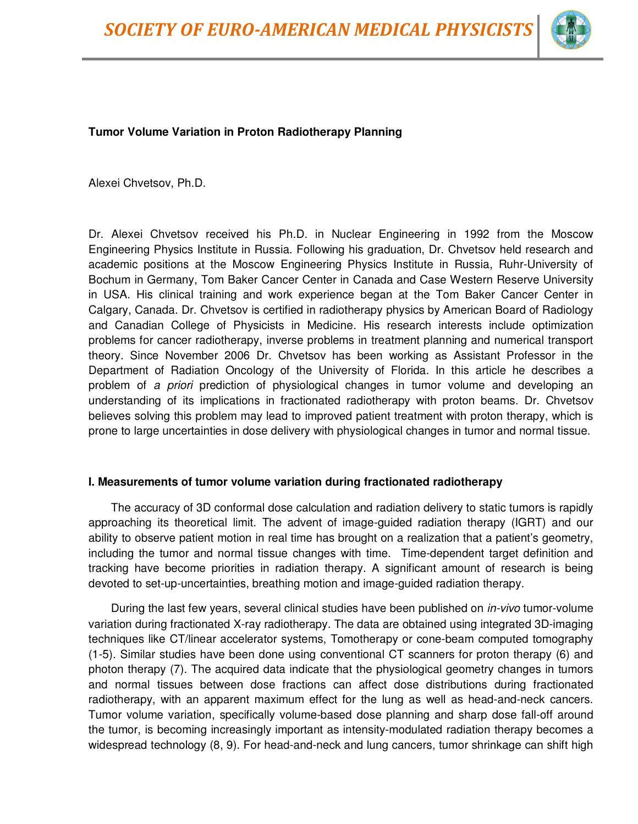

# **Tumor Volume Variation in Proton Radiotherapy Planning**

Alexei Chvetsov, Ph.D.

Dr. Alexei Chvetsov received his Ph.D. in Nuclear Engineering in 1992 from the Moscow Engineering Physics Institute in Russia. Following his graduation, Dr. Chvetsov held research and academic positions at the Moscow Engineering Physics Institute in Russia, Ruhr-University of Bochum in Germany, Tom Baker Cancer Center in Canada and Case Western Reserve University in USA. His clinical training and work experience began at the Tom Baker Cancer Center in Calgary, Canada. Dr. Chvetsov is certified in radiotherapy physics by American Board of Radiology and Canadian College of Physicists in Medicine. His research interests include optimization problems for cancer radiotherapy, inverse problems in treatment planning and numerical transport theory. Since November 2006 Dr. Chvetsov has been working as Assistant Professor in the Department of Radiation Oncology of the University of Florida. In this article he describes a problem of *a priori* prediction of physiological changes in tumor volume and developing an understanding of its implications in fractionated radiotherapy with proton beams. Dr. Chvetsov believes solving this problem may lead to improved patient treatment with proton therapy, which is prone to large uncertainties in dose delivery with physiological changes in tumor and normal tissue.

#### **I. Measurements of tumor volume variation during fractionated radiotherapy**

The accuracy of 3D conformal dose calculation and radiation delivery to static tumors is rapidly approaching its theoretical limit. The advent of image-guided radiation therapy (IGRT) and our ability to observe patient motion in real time has brought on a realization that a patient's geometry, including the tumor and normal tissue changes with time. Time-dependent target definition and tracking have become priorities in radiation therapy. A significant amount of research is being devoted to set-up-uncertainties, breathing motion and image-guided radiation therapy.

During the last few years, several clinical studies have been published on *in-vivo* tumor-volume variation during fractionated X-ray radiotherapy. The data are obtained using integrated 3D-imaging techniques like CT/linear accelerator systems, Tomotherapy or cone-beam computed tomography (1-5). Similar studies have been done using conventional CT scanners for proton therapy (6) and photon therapy (7). The acquired data indicate that the physiological geometry changes in tumors and normal tissues between dose fractions can affect dose distributions during fractionated radiotherapy, with an apparent maximum effect for the lung as well as head-and-neck cancers. Tumor volume variation, specifically volume-based dose planning and sharp dose fall-off around the tumor, is becoming increasingly important as intensity-modulated radiation therapy becomes a widespread technology (8, 9). For head-and-neck and lung cancers, tumor shrinkage can shift high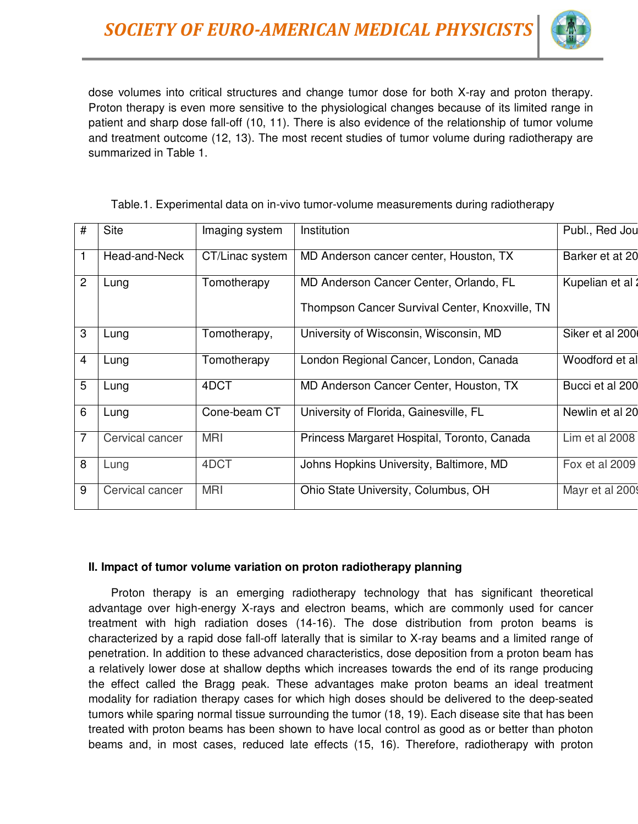

dose volumes into critical structures and change tumor dose for both X-ray and proton therapy. Proton therapy is even more sensitive to the physiological changes because of its limited range in patient and sharp dose fall-off (10, 11). There is also evidence of the relationship of tumor volume and treatment outcome (12, 13). The most recent studies of tumor volume during radiotherapy are summarized in Table 1.

| # | <b>Site</b>     | Imaging system  |                                                |                  |
|---|-----------------|-----------------|------------------------------------------------|------------------|
|   |                 |                 | Institution                                    | Publ., Red Jou   |
|   | Head-and-Neck   | CT/Linac system | MD Anderson cancer center, Houston, TX         | Barker et at 20  |
| 2 | Lung            | Tomotherapy     | MD Anderson Cancer Center, Orlando, FL         | Kupelian et al : |
|   |                 |                 | Thompson Cancer Survival Center, Knoxville, TN |                  |
| 3 | Lung            | Tomotherapy,    | University of Wisconsin, Wisconsin, MD         | Siker et al 200  |
| 4 | Lung            | Tomotherapy     | London Regional Cancer, London, Canada         | Woodford et al   |
| 5 | Lung            | 4DCT            | MD Anderson Cancer Center, Houston, TX         | Bucci et al 200  |
| 6 | Lung            | Cone-beam CT    | University of Florida, Gainesville, FL         | Newlin et al 20  |
| 7 | Cervical cancer | <b>MRI</b>      | Princess Margaret Hospital, Toronto, Canada    | Lim et al 2008   |
| 8 | Lung            | 4DCT            | Johns Hopkins University, Baltimore, MD        | Fox et al 2009   |
| 9 | Cervical cancer | <b>MRI</b>      | Ohio State University, Columbus, OH            | Mayr et al 2009  |

Table.1. Experimental data on in-vivo tumor-volume measurements during radiotherapy

#### **II. Impact of tumor volume variation on proton radiotherapy planning**

Proton therapy is an emerging radiotherapy technology that has significant theoretical advantage over high-energy X-rays and electron beams, which are commonly used for cancer treatment with high radiation doses (14-16). The dose distribution from proton beams is characterized by a rapid dose fall-off laterally that is similar to X-ray beams and a limited range of penetration. In addition to these advanced characteristics, dose deposition from a proton beam has a relatively lower dose at shallow depths which increases towards the end of its range producing the effect called the Bragg peak. These advantages make proton beams an ideal treatment modality for radiation therapy cases for which high doses should be delivered to the deep-seated tumors while sparing normal tissue surrounding the tumor (18, 19). Each disease site that has been treated with proton beams has been shown to have local control as good as or better than photon beams and, in most cases, reduced late effects (15, 16). Therefore, radiotherapy with proton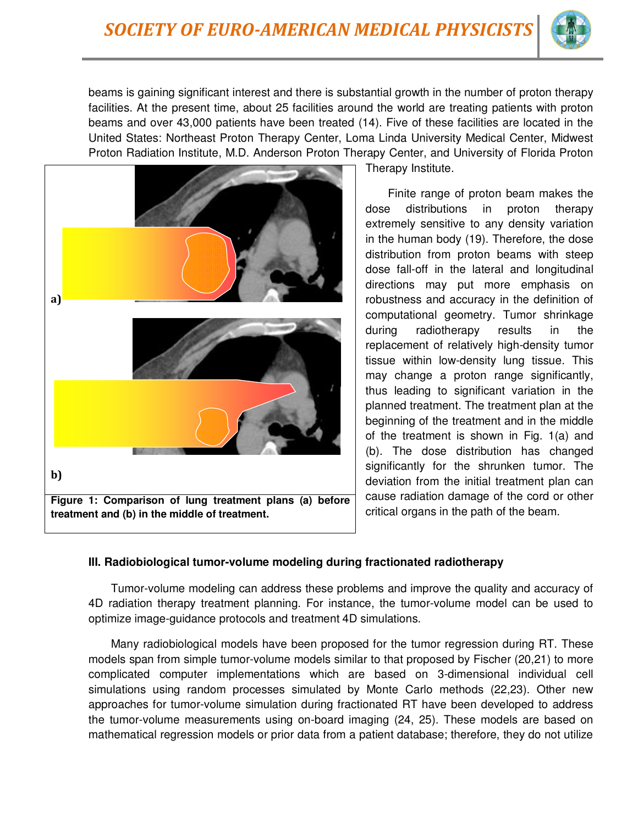

beams is gaining significant interest and there is substantial growth in the number of proton therapy facilities. At the present time, about 25 facilities around the world are treating patients with proton beams and over 43,000 patients have been treated (14). Five of these facilities are located in the United States: Northeast Proton Therapy Center, Loma Linda University Medical Center, Midwest Proton Radiation Institute, M.D. Anderson Proton Therapy Center, and University of Florida Proton



Therapy Institute.

Finite range of proton beam makes the dose distributions in proton therapy extremely sensitive to any density variation in the human body (19). Therefore, the dose distribution from proton beams with steep dose fall-off in the lateral and longitudinal directions may put more emphasis on robustness and accuracy in the definition of computational geometry. Tumor shrinkage during radiotherapy results in the replacement of relatively high-density tumor tissue within low-density lung tissue. This may change a proton range significantly, thus leading to significant variation in the planned treatment. The treatment plan at the beginning of the treatment and in the middle of the treatment is shown in Fig. 1(a) and (b). The dose distribution has changed significantly for the shrunken tumor. The deviation from the initial treatment plan can cause radiation damage of the cord or other critical organs in the path of the beam.

## **III. Radiobiological tumor-volume modeling during fractionated radiotherapy**

Tumor-volume modeling can address these problems and improve the quality and accuracy of 4D radiation therapy treatment planning. For instance, the tumor-volume model can be used to optimize image-guidance protocols and treatment 4D simulations.

Many radiobiological models have been proposed for the tumor regression during RT. These models span from simple tumor-volume models similar to that proposed by Fischer (20,21) to more complicated computer implementations which are based on 3-dimensional individual cell simulations using random processes simulated by Monte Carlo methods (22,23). Other new approaches for tumor-volume simulation during fractionated RT have been developed to address the tumor-volume measurements using on-board imaging (24, 25). These models are based on mathematical regression models or prior data from a patient database; therefore, they do not utilize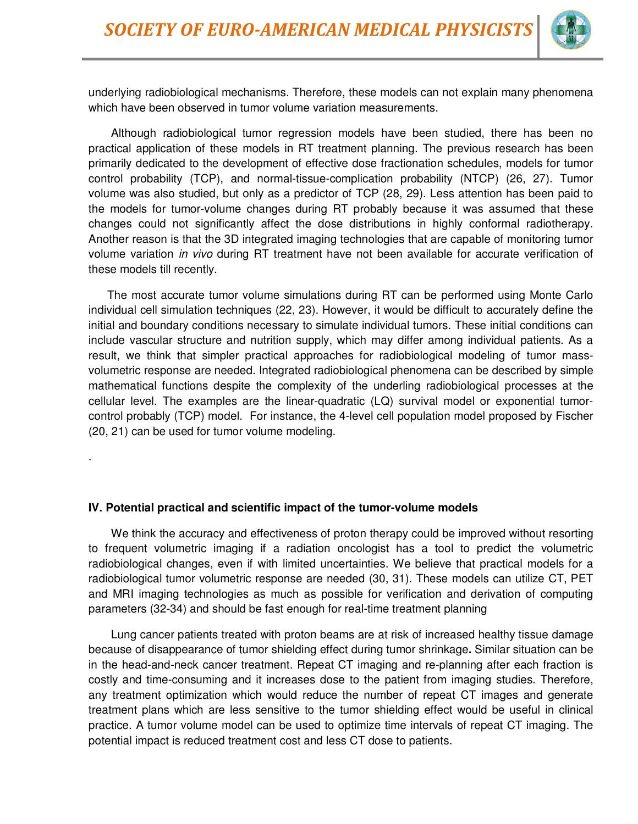

underlying radiobiological mechanisms. Therefore, these models can not explain many phenomena which have been observed in tumor volume variation measurements.

Although radiobiological tumor regression models have been studied, there has been no practical application of these models in RT treatment planning. The previous research has been primarily dedicated to the development of effective dose fractionation schedules, models for tumor control probability (TCP), and normal-tissue-complication probability (NTCP) (26, 27). Tumor volume was also studied, but only as a predictor of TCP (28, 29). Less attention has been paid to the models for tumor-volume changes during RT probably because it was assumed that these changes could not significantly affect the dose distributions in highly conformal radiotherapy. Another reason is that the 3D integrated imaging technologies that are capable of monitoring tumor volume variation *in vivo* during RT treatment have not been available for accurate verification of these models till recently.

The most accurate tumor volume simulations during RT can be performed using Monte Carlo individual cell simulation techniques (22, 23). However, it would be difficult to accurately define the initial and boundary conditions necessary to simulate individual tumors. These initial conditions can include vascular structure and nutrition supply, which may differ among individual patients. As a result, we think that simpler practical approaches for radiobiological modeling of tumor massvolumetric response are needed. Integrated radiobiological phenomena can be described by simple mathematical functions despite the complexity of the underling radiobiological processes at the cellular level. The examples are the linear-quadratic (LQ) survival model or exponential tumorcontrol probably (TCP) model. For instance, the 4-level cell population model proposed by Fischer (20, 21) can be used for tumor volume modeling.

**IV. Potential practical and scientific impact of the tumor-volume models** 

.

We think the accuracy and effectiveness of proton therapy could be improved without resorting to frequent volumetric imaging if a radiation oncologist has a tool to predict the volumetric radiobiological changes, even if with limited uncertainties. We believe that practical models for a radiobiological tumor volumetric response are needed (30, 31). These models can utilize CT, PET and MRI imaging technologies as much as possible for verification and derivation of computing parameters (32-34) and should be fast enough for real-time treatment planning

Lung cancer patients treated with proton beams are at risk of increased healthy tissue damage because of disappearance of tumor shielding effect during tumor shrinkage**.** Similar situation can be in the head-and-neck cancer treatment. Repeat CT imaging and re-planning after each fraction is costly and time-consuming and it increases dose to the patient from imaging studies. Therefore, any treatment optimization which would reduce the number of repeat CT images and generate treatment plans which are less sensitive to the tumor shielding effect would be useful in clinical practice. A tumor volume model can be used to optimize time intervals of repeat CT imaging. The potential impact is reduced treatment cost and less CT dose to patients.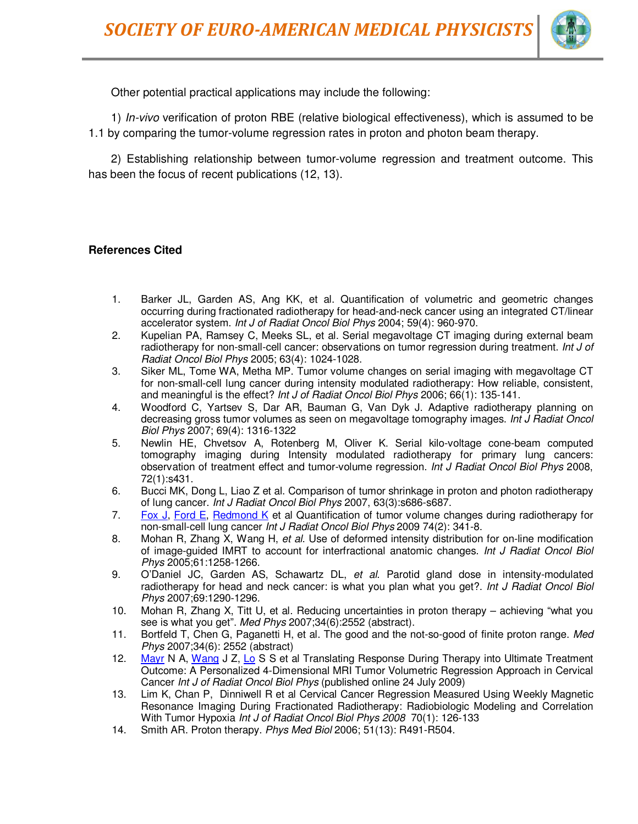

Other potential practical applications may include the following:

1) *In-vivo* verification of proton RBE (relative biological effectiveness), which is assumed to be 1.1 by comparing the tumor-volume regression rates in proton and photon beam therapy.

2) Establishing relationship between tumor-volume regression and treatment outcome. This has been the focus of recent publications (12, 13).

### **References Cited**

- 1. Barker JL, Garden AS, Ang KK, et al. Quantification of volumetric and geometric changes occurring during fractionated radiotherapy for head-and-neck cancer using an integrated CT/linear accelerator system. *Int J of Radiat Oncol Biol Phys* 2004; 59(4): 960-970.
- 2. Kupelian PA, Ramsey C, Meeks SL, et al. Serial megavoltage CT imaging during external beam radiotherapy for non-small-cell cancer: observations on tumor regression during treatment. *Int J of Radiat Oncol Biol Phys* 2005; 63(4): 1024-1028.
- 3. Siker ML, Tome WA, Metha MP. Tumor volume changes on serial imaging with megavoltage CT for non-small-cell lung cancer during intensity modulated radiotherapy: How reliable, consistent, and meaningful is the effect? *Int J of Radiat Oncol Biol Phys* 2006; 66(1): 135-141.
- 4. Woodford C, Yartsev S, Dar AR, Bauman G, Van Dyk J. Adaptive radiotherapy planning on decreasing gross tumor volumes as seen on megavoltage tomography images. *Int J Radiat Oncol Biol Phys* 2007; 69(4): 1316-1322
- 5. Newlin HE, Chvetsov A, Rotenberg M, Oliver K. Serial kilo-voltage cone-beam computed tomography imaging during Intensity modulated radiotherapy for primary lung cancers: observation of treatment effect and tumor-volume regression. *Int J Radiat Oncol Biol Phys* 2008, 72(1):s431.
- 6. Bucci MK, Dong L, Liao Z et al. Comparison of tumor shrinkage in proton and photon radiotherapy of lung cancer. *Int J Radiat Oncol Biol Phys* 2007, 63(3):s686-s687.
- 7. Fox J, Ford E, Redmond K et al Quantification of tumor volume changes during radiotherapy for non-small-cell lung cancer *Int J Radiat Oncol Biol Phys* 2009 74(2): 341-8.
- 8. Mohan R, Zhang X, Wang H, *et al*. Use of deformed intensity distribution for on-line modification of image-guided IMRT to account for interfractional anatomic changes. *Int J Radiat Oncol Biol Phys* 2005;61:1258-1266.
- 9. O'Daniel JC, Garden AS, Schawartz DL, *et al*. Parotid gland dose in intensity-modulated radiotherapy for head and neck cancer: is what you plan what you get?. *Int J Radiat Oncol Biol Phys* 2007;69:1290-1296.
- 10. Mohan R, Zhang X, Titt U, et al. Reducing uncertainties in proton therapy achieving "what you see is what you get". *Med Phys* 2007;34(6):2552 (abstract).
- 11. Bortfeld T, Chen G, Paganetti H, et al. The good and the not-so-good of finite proton range. *Med Phys* 2007;34(6): 2552 (abstract)
- 12. Mayr N A, Wang J Z, Lo S S et al Translating Response During Therapy into Ultimate Treatment Outcome: A Personalized 4-Dimensional MRI Tumor Volumetric Regression Approach in Cervical Cancer *Int J of Radiat Oncol Biol Phys* (published online 24 July 2009)
- 13. Lim K, Chan P, Dinniwell R et al Cervical Cancer Regression Measured Using Weekly Magnetic Resonance Imaging During Fractionated Radiotherapy: Radiobiologic Modeling and Correlation With Tumor Hypoxia *Int J of Radiat Oncol Biol Phys 2008* 70(1): 126-133
- 14. Smith AR. Proton therapy. *Phys Med Biol* 2006; 51(13): R491-R504.